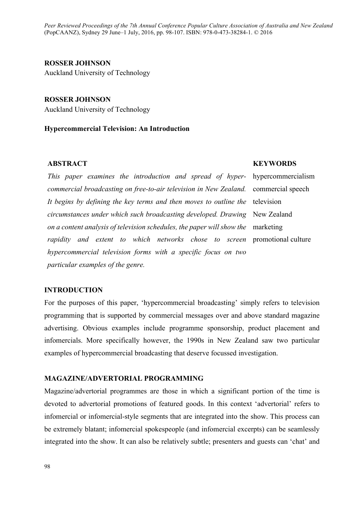*Peer Reviewed Proceedings of the 7th Annual Conference Popular Culture Association of Australia and New Zealand* (PopCAANZ), Sydney 29 June–1 July, 2016, pp. 98-107. ISBN: 978-0-473-38284-1. © 2016

## **ROSSER JOHNSON** Auckland University of Technology

**ROSSER JOHNSON** Auckland University of Technology

#### **Hypercommercial Television: An Introduction**

## **ABSTRACT**

*This paper examines the introduction and spread of hypercommercial broadcasting on free-to-air television in New Zealand. It begins by defining the key terms and then moves to outline the*  television *circumstances under which such broadcasting developed. Drawing*  New Zealand *on a content analysis of television schedules, the paper will show the*  marketing *rapidity and extent to which networks chose to screen*  promotional culture *hypercommercial television forms with a specific focus on two particular examples of the genre.* 

#### **INTRODUCTION**

For the purposes of this paper, 'hypercommercial broadcasting' simply refers to television programming that is supported by commercial messages over and above standard magazine advertising. Obvious examples include programme sponsorship, product placement and infomercials. More specifically however, the 1990s in New Zealand saw two particular examples of hypercommercial broadcasting that deserve focussed investigation.

## **MAGAZINE/ADVERTORIAL PROGRAMMING**

Magazine/advertorial programmes are those in which a significant portion of the time is devoted to advertorial promotions of featured goods. In this context 'advertorial' refers to infomercial or infomercial-style segments that are integrated into the show. This process can be extremely blatant; infomercial spokespeople (and infomercial excerpts) can be seamlessly integrated into the show. It can also be relatively subtle; presenters and guests can 'chat' and

## **KEYWORDS**

hypercommercialism commercial speech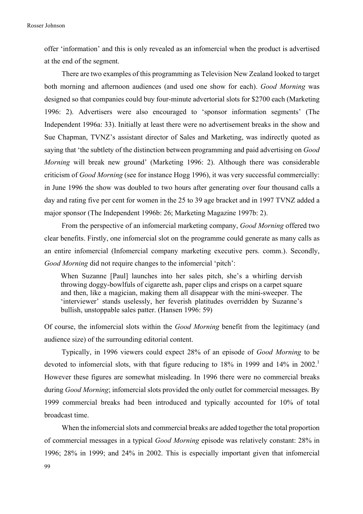offer 'information' and this is only revealed as an infomercial when the product is advertised at the end of the segment.

There are two examples of this programming as Television New Zealand looked to target both morning and afternoon audiences (and used one show for each). *Good Morning* was designed so that companies could buy four-minute advertorial slots for \$2700 each (Marketing 1996: 2). Advertisers were also encouraged to 'sponsor information segments' (The Independent 1996a: 33). Initially at least there were no advertisement breaks in the show and Sue Chapman, TVNZ's assistant director of Sales and Marketing, was indirectly quoted as saying that 'the subtlety of the distinction between programming and paid advertising on *Good Morning* will break new ground' (Marketing 1996: 2). Although there was considerable criticism of *Good Morning* (see for instance Hogg 1996), it was very successful commercially: in June 1996 the show was doubled to two hours after generating over four thousand calls a day and rating five per cent for women in the 25 to 39 age bracket and in 1997 TVNZ added a major sponsor (The Independent 1996b: 26; Marketing Magazine 1997b: 2).

From the perspective of an infomercial marketing company, *Good Morning* offered two clear benefits. Firstly, one infomercial slot on the programme could generate as many calls as an entire infomercial (Infomercial company marketing executive pers. comm.). Secondly, *Good Morning* did not require changes to the infomercial 'pitch':

When Suzanne [Paul] launches into her sales pitch, she's a whirling dervish throwing doggy-bowlfuls of cigarette ash, paper clips and crisps on a carpet square and then, like a magician, making them all disappear with the mini-sweeper. The 'interviewer' stands uselessly, her feverish platitudes overridden by Suzanne's bullish, unstoppable sales patter. (Hansen 1996: 59)

Of course, the infomercial slots within the *Good Morning* benefit from the legitimacy (and audience size) of the surrounding editorial content.

Typically, in 1996 viewers could expect 28% of an episode of *Good Morning* to be devoted to infomercial slots, with that figure reducing to  $18\%$  in 1999 and  $14\%$  in 2002. However these figures are somewhat misleading. In 1996 there were no commercial breaks during *Good Morning*; infomercial slots provided the only outlet for commercial messages. By 1999 commercial breaks had been introduced and typically accounted for 10% of total broadcast time.

When the infomercial slots and commercial breaks are added together the total proportion of commercial messages in a typical *Good Morning* episode was relatively constant: 28% in 1996; 28% in 1999; and 24% in 2002. This is especially important given that infomercial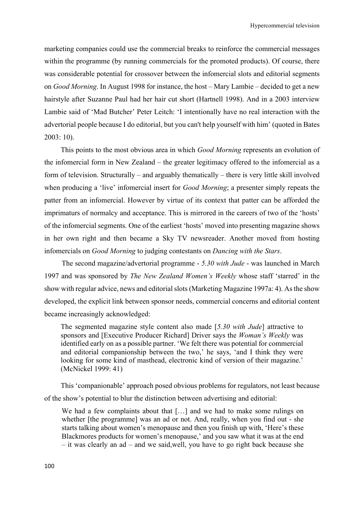marketing companies could use the commercial breaks to reinforce the commercial messages within the programme (by running commercials for the promoted products). Of course, there was considerable potential for crossover between the infomercial slots and editorial segments on *Good Morning*. In August 1998 for instance, the host – Mary Lambie – decided to get a new hairstyle after Suzanne Paul had her hair cut short (Hartnell 1998). And in a 2003 interview Lambie said of 'Mad Butcher' Peter Leitch: 'I intentionally have no real interaction with the advertorial people because I do editorial, but you can't help yourself with him' (quoted in Bates 2003: 10).

This points to the most obvious area in which *Good Morning* represents an evolution of the infomercial form in New Zealand – the greater legitimacy offered to the infomercial as a form of television. Structurally – and arguably thematically – there is very little skill involved when producing a 'live' infomercial insert for *Good Morning*; a presenter simply repeats the patter from an infomercial. However by virtue of its context that patter can be afforded the imprimaturs of normalcy and acceptance. This is mirrored in the careers of two of the 'hosts' of the infomercial segments. One of the earliest 'hosts' moved into presenting magazine shows in her own right and then became a Sky TV newsreader. Another moved from hosting infomercials on *Good Morning* to judging contestants on *Dancing with the Stars*.

The second magazine/advertorial programme - *5.30 with Jude* - was launched in March 1997 and was sponsored by *The New Zealand Women's Weekly* whose staff 'starred' in the show with regular advice, news and editorial slots (Marketing Magazine 1997a: 4). As the show developed, the explicit link between sponsor needs, commercial concerns and editorial content became increasingly acknowledged:

The segmented magazine style content also made [*5.30 with Jude*] attractive to sponsors and [Executive Producer Richard] Driver says the *Woman's Weekly* was identified early on as a possible partner. 'We felt there was potential for commercial and editorial companionship between the two,' he says, 'and I think they were looking for some kind of masthead, electronic kind of version of their magazine.' (McNickel 1999: 41)

This 'companionable' approach posed obvious problems for regulators, not least because of the show's potential to blur the distinction between advertising and editorial:

We had a few complaints about that [...] and we had to make some rulings on whether [the programme] was an ad or not. And, really, when you find out - she starts talking about women's menopause and then you finish up with, 'Here's these Blackmores products for women's menopause,' and you saw what it was at the end – it was clearly an ad – and we said,well, you have to go right back because she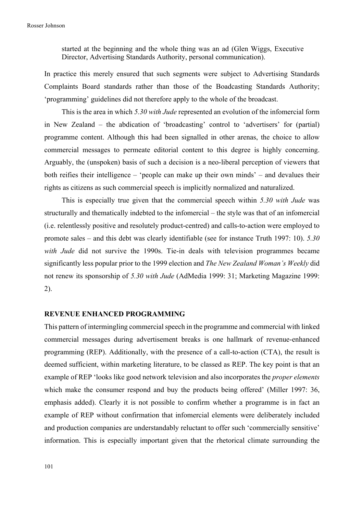started at the beginning and the whole thing was an ad (Glen Wiggs, Executive Director, Advertising Standards Authority, personal communication).

In practice this merely ensured that such segments were subject to Advertising Standards Complaints Board standards rather than those of the Boadcasting Standards Authority; 'programming' guidelines did not therefore apply to the whole of the broadcast.

This is the area in which *5.30 with Jude* represented an evolution of the infomercial form in New Zealand – the abdication of 'broadcasting' control to 'advertisers' for (partial) programme content. Although this had been signalled in other arenas, the choice to allow commercial messages to permeate editorial content to this degree is highly concerning. Arguably, the (unspoken) basis of such a decision is a neo-liberal perception of viewers that both reifies their intelligence – 'people can make up their own minds' – and devalues their rights as citizens as such commercial speech is implicitly normalized and naturalized.

This is especially true given that the commercial speech within *5.30 with Jude* was structurally and thematically indebted to the infomercial – the style was that of an infomercial (i.e. relentlessly positive and resolutely product-centred) and calls-to-action were employed to promote sales – and this debt was clearly identifiable (see for instance Truth 1997: 10). *5.30 with Jude* did not survive the 1990s. Tie-in deals with television programmes became significantly less popular prior to the 1999 election and *The New Zealand Woman's Weekly* did not renew its sponsorship of *5.30 with Jude* (AdMedia 1999: 31; Marketing Magazine 1999: 2).

#### **REVENUE ENHANCED PROGRAMMING**

This pattern of intermingling commercial speech in the programme and commercial with linked commercial messages during advertisement breaks is one hallmark of revenue-enhanced programming (REP). Additionally, with the presence of a call-to-action (CTA), the result is deemed sufficient, within marketing literature, to be classed as REP. The key point is that an example of REP 'looks like good network television and also incorporates the *proper elements* which make the consumer respond and buy the products being offered' (Miller 1997: 36, emphasis added). Clearly it is not possible to confirm whether a programme is in fact an example of REP without confirmation that infomercial elements were deliberately included and production companies are understandably reluctant to offer such 'commercially sensitive' information. This is especially important given that the rhetorical climate surrounding the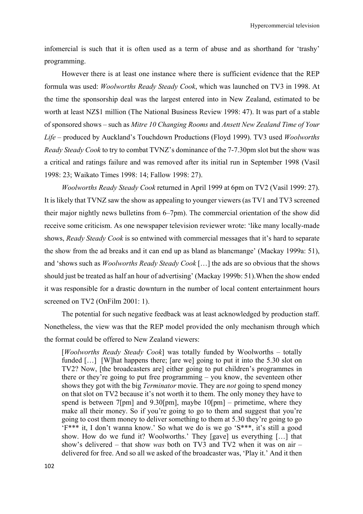infomercial is such that it is often used as a term of abuse and as shorthand for 'trashy' programming.

However there is at least one instance where there is sufficient evidence that the REP formula was used: *Woolworths Ready Steady Cook*, which was launched on TV3 in 1998. At the time the sponsorship deal was the largest entered into in New Zealand, estimated to be worth at least NZ\$1 million (The National Business Review 1998: 47). It was part of a stable of sponsored shows – such as *Mitre 10 Changing Rooms* and *Ansett New Zealand Time of Your Life* – produced by Auckland's Touchdown Productions (Floyd 1999). TV3 used *Woolworths Ready Steady Cook* to try to combat TVNZ's dominance of the 7-7.30pm slot but the show was a critical and ratings failure and was removed after its initial run in September 1998 (Vasil 1998: 23; Waikato Times 1998: 14; Fallow 1998: 27).

*Woolworths Ready Steady Cook* returned in April 1999 at 6pm on TV2 (Vasil 1999: 27). It is likely that TVNZ saw the show as appealing to younger viewers (as TV1 and TV3 screened their major nightly news bulletins from 6–7pm). The commercial orientation of the show did receive some criticism. As one newspaper television reviewer wrote: 'like many locally-made shows, *Ready Steady Cook* is so entwined with commercial messages that it's hard to separate the show from the ad breaks and it can end up as bland as blancmange' (Mackay 1999a: 51). and 'shows such as *Woolworths Ready Steady Cook* […] the ads are so obvious that the shows should just be treated as half an hour of advertising' (Mackay 1999b: 51).When the show ended it was responsible for a drastic downturn in the number of local content entertainment hours screened on TV2 (OnFilm 2001: 1).

The potential for such negative feedback was at least acknowledged by production staff. Nonetheless, the view was that the REP model provided the only mechanism through which the format could be offered to New Zealand viewers:

[*Woolworths Ready Steady Cook*] was totally funded by Woolworths – totally funded [...] [W]hat happens there; [are we] going to put it into the 5.30 slot on TV2? Now, [the broadcasters are] either going to put children's programmes in there or they're going to put free programming – you know, the seventeen other shows they got with the big *Terminator* movie. They are *not* going to spend money on that slot on TV2 because it's not worth it to them. The only money they have to spend is between 7[pm] and 9.30[pm], maybe 10[pm] – primetime, where they make all their money. So if you're going to go to them and suggest that you're going to cost them money to deliver something to them at 5.30 they're going to go 'F\*\*\* it, I don't wanna know.' So what we do is we go 'S\*\*\*, it's still a good show. How do we fund it? Woolworths.' They [gave] us everything […] that show's delivered – that show *was* both on TV3 and TV2 when it was on air – delivered for free. And so all we asked of the broadcaster was, 'Play it.' And it then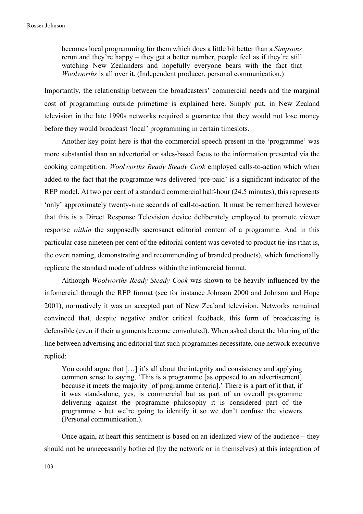becomes local programming for them which does a little bit better than a *Simpsons* rerun and they're happy – they get a better number, people feel as if they're still watching New Zealanders and hopefully everyone bears with the fact that *Woolworths* is all over it. (Independent producer, personal communication.)

Importantly, the relationship between the broadcasters' commercial needs and the marginal cost of programming outside primetime is explained here. Simply put, in New Zealand television in the late 1990s networks required a guarantee that they would not lose money before they would broadcast 'local' programming in certain timeslots.

Another key point here is that the commercial speech present in the 'programme' was more substantial than an advertorial or sales-based focus to the information presented via the cooking competition. *Woolworths Ready Steady Cook* employed calls-to-action which when added to the fact that the programme was delivered 'pre-paid' is a significant indicator of the REP model. At two per cent of a standard commercial half-hour (24.5 minutes), this represents 'only' approximately twenty-nine seconds of call-to-action. It must be remembered however that this is a Direct Response Television device deliberately employed to promote viewer response *within* the supposedly sacrosanct editorial content of a programme. And in this particular case nineteen per cent of the editorial content was devoted to product tie-ins (that is, the overt naming, demonstrating and recommending of branded products), which functionally replicate the standard mode of address within the infomercial format.

Although *Woolworths Ready Steady Cook* was shown to be heavily influenced by the infomercial through the REP format (see for instance Johnson 2000 and Johnson and Hope 2001), normatively it was an accepted part of New Zealand television. Networks remained convinced that, despite negative and/or critical feedback, this form of broadcasting is defensible (even if their arguments become convoluted). When asked about the blurring of the line between advertising and editorial that such programmes necessitate, one network executive replied:

You could argue that [...] it's all about the integrity and consistency and applying common sense to saying, 'This is a programme [as opposed to an advertisement] because it meets the majority [of programme criteria].' There is a part of it that, if it was stand-alone, yes, is commercial but as part of an overall programme delivering against the programme philosophy it is considered part of the programme - but we're going to identify it so we don't confuse the viewers (Personal communication.).

Once again, at heart this sentiment is based on an idealized view of the audience – they should not be unnecessarily bothered (by the network or in themselves) at this integration of

103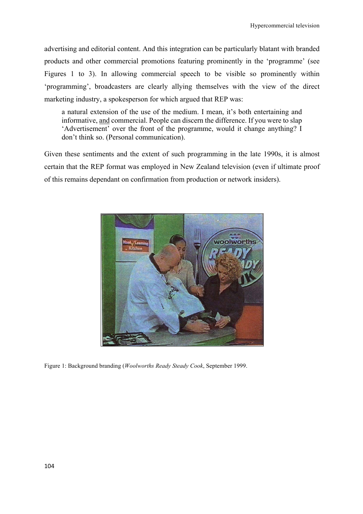advertising and editorial content. And this integration can be particularly blatant with branded products and other commercial promotions featuring prominently in the 'programme' (see Figures 1 to 3). In allowing commercial speech to be visible so prominently within 'programming', broadcasters are clearly allying themselves with the view of the direct marketing industry, a spokesperson for which argued that REP was:

a natural extension of the use of the medium. I mean, it's both entertaining and informative, and commercial. People can discern the difference. If you were to slap 'Advertisement' over the front of the programme, would it change anything? I don't think so. (Personal communication).

Given these sentiments and the extent of such programming in the late 1990s, it is almost certain that the REP format was employed in New Zealand television (even if ultimate proof of this remains dependant on confirmation from production or network insiders).



Figure 1: Background branding (*Woolworths Ready Steady Cook*, September 1999.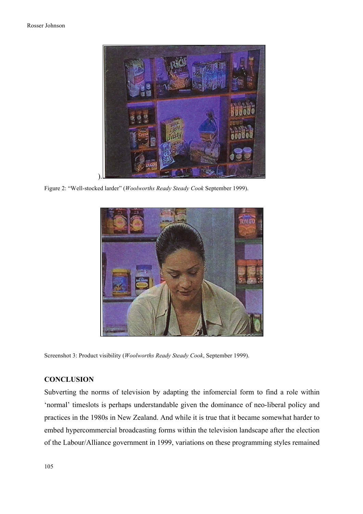

Figure 2: "Well-stocked larder" (*Woolworths Ready Steady Cook* September 1999).



Screenshot 3: Product visibility (*Woolworths Ready Steady Cook*, September 1999).

## **CONCLUSION**

Subverting the norms of television by adapting the infomercial form to find a role within 'normal' timeslots is perhaps understandable given the dominance of neo-liberal policy and practices in the 1980s in New Zealand. And while it is true that it became somewhat harder to embed hypercommercial broadcasting forms within the television landscape after the election of the Labour/Alliance government in 1999, variations on these programming styles remained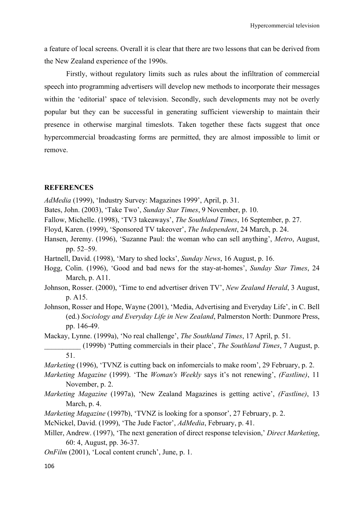a feature of local screens. Overall it is clear that there are two lessons that can be derived from the New Zealand experience of the 1990s.

Firstly, without regulatory limits such as rules about the infiltration of commercial speech into programming advertisers will develop new methods to incorporate their messages within the 'editorial' space of television. Secondly, such developments may not be overly popular but they can be successful in generating sufficient viewership to maintain their presence in otherwise marginal timeslots. Taken together these facts suggest that once hypercommercial broadcasting forms are permitted, they are almost impossible to limit or remove.

## **REFERENCES**

*AdMedia* (1999), 'Industry Survey: Magazines 1999', April, p. 31.

- Bates, John. (2003), 'Take Two', *Sunday Star Times*, 9 November, p. 10.
- Fallow, Michelle. (1998), 'TV3 takeaways', *The Southland Times*, 16 September, p. 27.
- Floyd, Karen. (1999), 'Sponsored TV takeover', *The Independent*, 24 March, p. 24.
- Hansen, Jeremy. (1996), 'Suzanne Paul: the woman who can sell anything', *Metro*, August, pp. 52–59.
- Hartnell, David. (1998), 'Mary to shed locks', *Sunday News*, 16 August, p. 16.
- Hogg, Colin. (1996), 'Good and bad news for the stay-at-homes', *Sunday Star Times*, 24 March, p. A11.
- Johnson, Rosser. (2000), 'Time to end advertiser driven TV', *New Zealand Herald*, 3 August, p. A15.
- Johnson, Rosser and Hope, Wayne (2001), 'Media, Advertising and Everyday Life', in C. Bell (ed.) *Sociology and Everyday Life in New Zealand*, Palmerston North: Dunmore Press, pp. 146-49.

Mackay, Lynne. (1999a), 'No real challenge', *The Southland Times*, 17 April, p. 51.

- \_\_\_\_\_\_\_\_\_\_ (1999b) 'Putting commercials in their place', *The Southland Times*, 7 August, p. 51.
- *Marketing* (1996), 'TVNZ is cutting back on infomercials to make room', 29 February, p. 2.
- *Marketing Magazine* (1999). 'The *Woman's Weekly* says it's not renewing', *(Fastline)*, 11 November, p. 2.
- *Marketing Magazine* (1997a), 'New Zealand Magazines is getting active', *(Fastline)*, 13 March, p. 4.
- *Marketing Magazine* (1997b), 'TVNZ is looking for a sponsor', 27 February, p. 2.

McNickel, David. (1999), 'The Jude Factor', *AdMedia*, February, p. 41.

- Miller, Andrew. (1997), 'The next generation of direct response television,' *Direct Marketing*, 60: 4, August, pp. 36-37.
- *OnFilm* (2001), 'Local content crunch', June, p. 1.